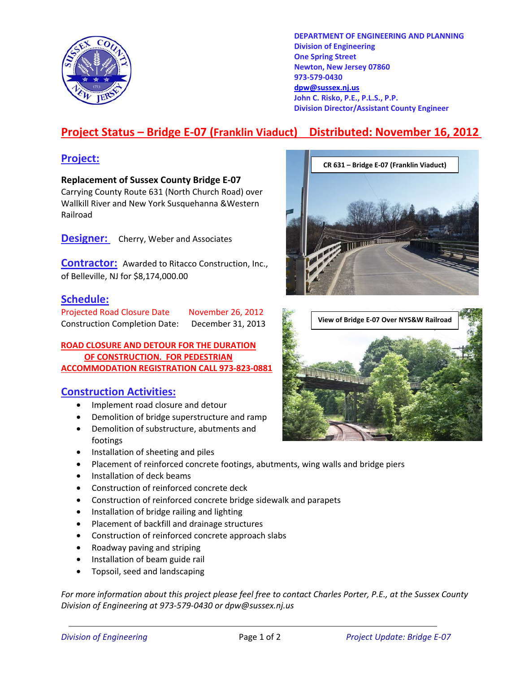

**DEPARTMENT OF ENGINEERING AND PLANNING Division of Engineering One Spring Street Newton, New Jersey 07860 973-579-0430 dpw@sussex.nj.us John C. Risko, P.E., P.L.S., P.P. Division Director/Assistant County Engineer** 

# **Project Status – Bridge E-07 (Franklin Viaduct) Distributed: November 16, 2012**

**Replacement of Sussex County Bridge E-07**  Carrying County Route 631 (North Church Road) over Wallkill River and New York Susquehanna &Western Railroad

**Designer:** Cherry, Weber and Associates

**Contractor:** Awarded to Ritacco Construction, Inc., of Belleville, NJ for \$8,174,000.00

### **Schedule:**

Projected Road Closure Date November 26, 2012<br> **View of Bridge E-07 Over NYS&W Railroad** <br> **View of Bridge E-07 Over NYS&W Railroad** 

**ROAD CLOSURE AND DETOUR FOR THE DURATION OF CONSTRUCTION. FOR PEDESTRIAN ACCOMMODATION REGISTRATION CALL 973-823-0881**

#### **Construction Activities:**

- Implement road closure and detour
- Demolition of bridge superstructure and ramp
- Demolition of substructure, abutments and footings
- Installation of sheeting and piles
- Placement of reinforced concrete footings, abutments, wing walls and bridge piers
- Installation of deck beams
- Construction of reinforced concrete deck
- Construction of reinforced concrete bridge sidewalk and parapets
- Installation of bridge railing and lighting
- Placement of backfill and drainage structures
- Construction of reinforced concrete approach slabs
- Roadway paving and striping
- Installation of beam guide rail
- Topsoil, seed and landscaping

*For more information about this project please feel free to contact Charles Porter, P.E., at the Sussex County Division of Engineering at 973-579-0430 or dpw@sussex.nj.us*